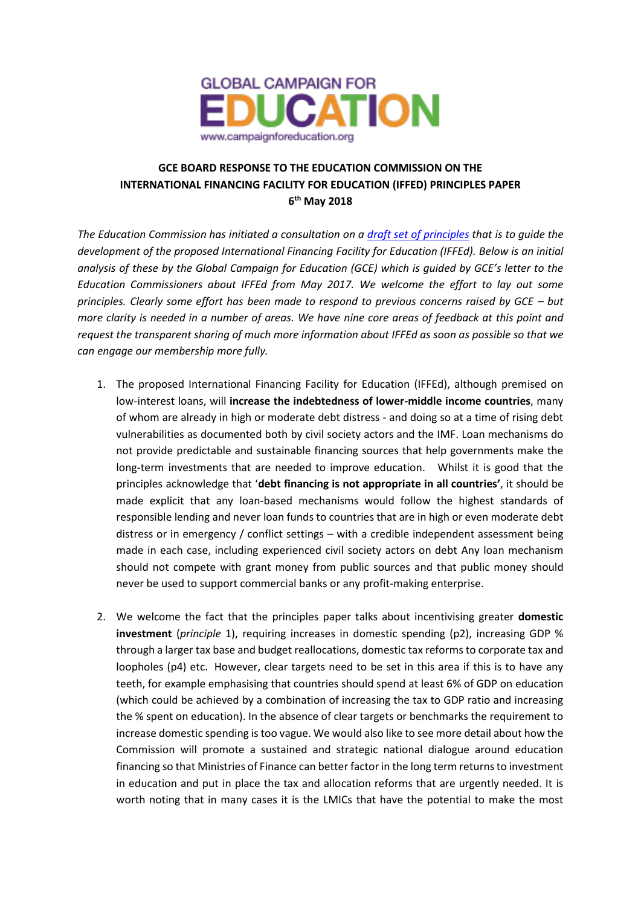

## **GCE BOARD RESPONSE TO THE EDUCATION COMMISSION ON THE INTERNATIONAL FINANCING FACILITY FOR EDUCATION (IFFED) PRINCIPLES PAPER 6 th May 2018**

*The Education Commission has initiated a consultation on a [draft set of principles](https://protect-eu.mimecast.com/s/fqUEC48AocwllKCLmQyY?domain=educationcommission.org) that is to guide the development of the proposed International Financing Facility for Education (IFFEd). Below is an initial analysis of these by the Global Campaign for Education (GCE) which is guided by GCE's letter to the Education Commissioners about IFFEd from May 2017. We welcome the effort to lay out some principles. Clearly some effort has been made to respond to previous concerns raised by GCE – but more clarity is needed in a number of areas. We have nine core areas of feedback at this point and request the transparent sharing of much more information about IFFEd as soon as possible so that we can engage our membership more fully.*

- 1. The proposed International Financing Facility for Education (IFFEd), although premised on low-interest loans, will **increase the indebtedness of lower-middle income countries**, many of whom are already in high or moderate debt distress - and doing so at a time of rising debt vulnerabilities as documented both by civil society actors and the IMF. Loan mechanisms do not provide predictable and sustainable financing sources that help governments make the long-term investments that are needed to improve education. Whilst it is good that the principles acknowledge that '**debt financing is not appropriate in all countries'**, it should be made explicit that any loan-based mechanisms would follow the highest standards of responsible lending and never loan funds to countries that are in high or even moderate debt distress or in emergency / conflict settings – with a credible independent assessment being made in each case, including experienced civil society actors on debt Any loan mechanism should not compete with grant money from public sources and that public money should never be used to support commercial banks or any profit-making enterprise.
- 2. We welcome the fact that the principles paper talks about incentivising greater **domestic investment** (*principle* 1), requiring increases in domestic spending (p2), increasing GDP % through a larger tax base and budget reallocations, domestic tax reforms to corporate tax and loopholes (p4) etc. However, clear targets need to be set in this area if this is to have any teeth, for example emphasising that countries should spend at least 6% of GDP on education (which could be achieved by a combination of increasing the tax to GDP ratio and increasing the % spent on education). In the absence of clear targets or benchmarks the requirement to increase domestic spending is too vague. We would also like to see more detail about how the Commission will promote a sustained and strategic national dialogue around education financing so that Ministries of Finance can better factor in the long term returns to investment in education and put in place the tax and allocation reforms that are urgently needed. It is worth noting that in many cases it is the LMICs that have the potential to make the most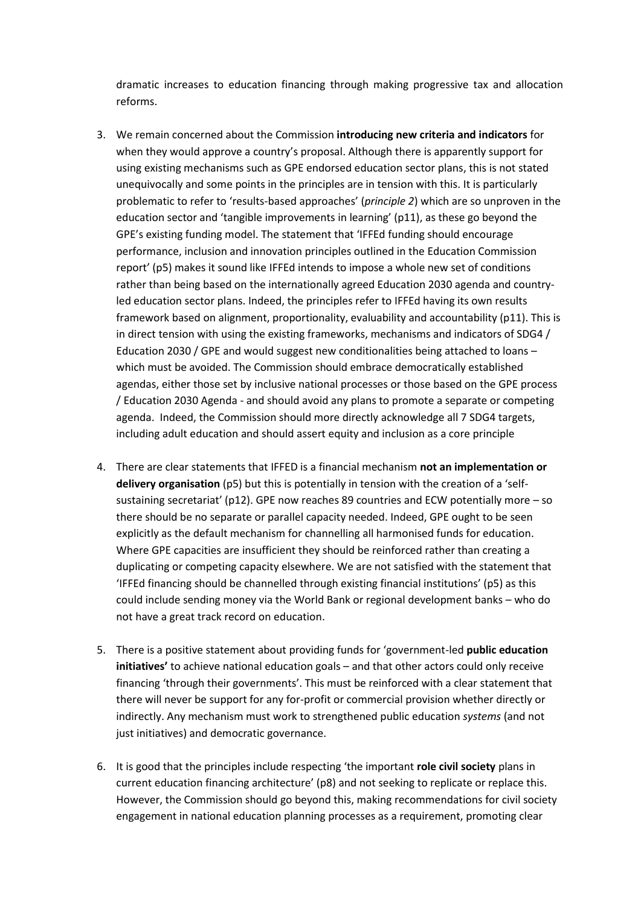dramatic increases to education financing through making progressive tax and allocation reforms.

- 3. We remain concerned about the Commission **introducing new criteria and indicators** for when they would approve a country's proposal. Although there is apparently support for using existing mechanisms such as GPE endorsed education sector plans, this is not stated unequivocally and some points in the principles are in tension with this. It is particularly problematic to refer to 'results-based approaches' (*principle 2*) which are so unproven in the education sector and 'tangible improvements in learning' (p11), as these go beyond the GPE's existing funding model. The statement that 'IFFEd funding should encourage performance, inclusion and innovation principles outlined in the Education Commission report' (p5) makes it sound like IFFEd intends to impose a whole new set of conditions rather than being based on the internationally agreed Education 2030 agenda and countryled education sector plans. Indeed, the principles refer to IFFEd having its own results framework based on alignment, proportionality, evaluability and accountability (p11). This is in direct tension with using the existing frameworks, mechanisms and indicators of SDG4 / Education 2030 / GPE and would suggest new conditionalities being attached to loans – which must be avoided. The Commission should embrace democratically established agendas, either those set by inclusive national processes or those based on the GPE process / Education 2030 Agenda - and should avoid any plans to promote a separate or competing agenda. Indeed, the Commission should more directly acknowledge all 7 SDG4 targets, including adult education and should assert equity and inclusion as a core principle
- 4. There are clear statements that IFFED is a financial mechanism **not an implementation or delivery organisation** (p5) but this is potentially in tension with the creation of a 'selfsustaining secretariat' (p12). GPE now reaches 89 countries and ECW potentially more – so there should be no separate or parallel capacity needed. Indeed, GPE ought to be seen explicitly as the default mechanism for channelling all harmonised funds for education. Where GPE capacities are insufficient they should be reinforced rather than creating a duplicating or competing capacity elsewhere. We are not satisfied with the statement that 'IFFEd financing should be channelled through existing financial institutions' (p5) as this could include sending money via the World Bank or regional development banks – who do not have a great track record on education.
- 5. There is a positive statement about providing funds for 'government-led **public education initiatives'** to achieve national education goals – and that other actors could only receive financing 'through their governments'. This must be reinforced with a clear statement that there will never be support for any for-profit or commercial provision whether directly or indirectly. Any mechanism must work to strengthened public education *systems* (and not just initiatives) and democratic governance.
- 6. It is good that the principles include respecting 'the important **role civil society** plans in current education financing architecture' (p8) and not seeking to replicate or replace this. However, the Commission should go beyond this, making recommendations for civil society engagement in national education planning processes as a requirement, promoting clear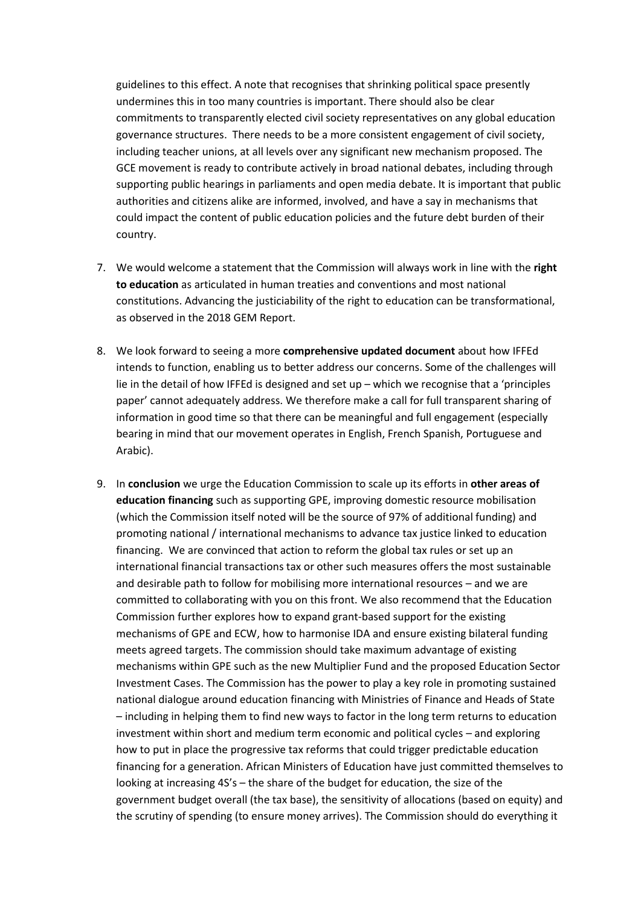guidelines to this effect. A note that recognises that shrinking political space presently undermines this in too many countries is important. There should also be clear commitments to transparently elected civil society representatives on any global education governance structures. There needs to be a more consistent engagement of civil society, including teacher unions, at all levels over any significant new mechanism proposed. The GCE movement is ready to contribute actively in broad national debates, including through supporting public hearings in parliaments and open media debate. It is important that public authorities and citizens alike are informed, involved, and have a say in mechanisms that could impact the content of public education policies and the future debt burden of their country.

- 7. We would welcome a statement that the Commission will always work in line with the **right to education** as articulated in human treaties and conventions and most national constitutions. Advancing the justiciability of the right to education can be transformational, as observed in the 2018 GEM Report.
- 8. We look forward to seeing a more **comprehensive updated document** about how IFFEd intends to function, enabling us to better address our concerns. Some of the challenges will lie in the detail of how IFFEd is designed and set up – which we recognise that a 'principles paper' cannot adequately address. We therefore make a call for full transparent sharing of information in good time so that there can be meaningful and full engagement (especially bearing in mind that our movement operates in English, French Spanish, Portuguese and Arabic).
- 9. In **conclusion** we urge the Education Commission to scale up its efforts in **other areas of education financing** such as supporting GPE, improving domestic resource mobilisation (which the Commission itself noted will be the source of 97% of additional funding) and promoting national / international mechanisms to advance tax justice linked to education financing. We are convinced that action to reform the global tax rules or set up an international financial transactions tax or other such measures offers the most sustainable and desirable path to follow for mobilising more international resources – and we are committed to collaborating with you on this front. We also recommend that the Education Commission further explores how to expand grant-based support for the existing mechanisms of GPE and ECW, how to harmonise IDA and ensure existing bilateral funding meets agreed targets. The commission should take maximum advantage of existing mechanisms within GPE such as the new Multiplier Fund and the proposed Education Sector Investment Cases. The Commission has the power to play a key role in promoting sustained national dialogue around education financing with Ministries of Finance and Heads of State – including in helping them to find new ways to factor in the long term returns to education investment within short and medium term economic and political cycles – and exploring how to put in place the progressive tax reforms that could trigger predictable education financing for a generation. African Ministers of Education have just committed themselves to looking at increasing 4S's – the share of the budget for education, the size of the government budget overall (the tax base), the sensitivity of allocations (based on equity) and the scrutiny of spending (to ensure money arrives). The Commission should do everything it